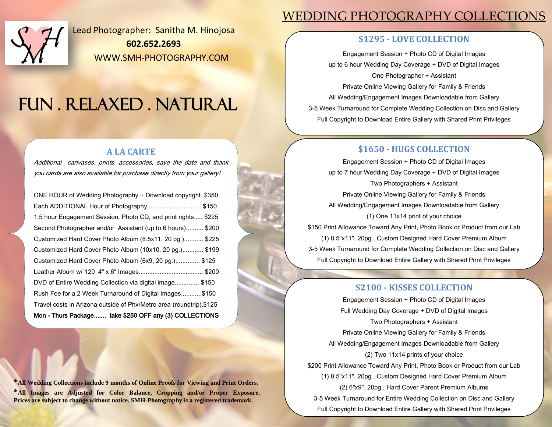

Lead Photographer: Sanitha M. Hinojosa **602.652.2693** WWW.SMH-PHOTOGRAPHY.COM

# FUN . RELAXED . NATURAL

### **A LA CARTE**

Additional canvases, prints, accessories, save the date and thank you cards are also available for purchase directly from your gallery!

| Mon - Thurs Package take \$250 OFF any (3) COLLECTIONS              |
|---------------------------------------------------------------------|
| Travel costs in Arizona outside of Phx/Metro area (roundtrip).\$125 |
| Rush Fee for a 2 Week Turnaround of Digital Images\$150             |
| DVD of Entire Wedding Collection via digital image\$150             |
|                                                                     |
| Customized Hard Cover Photo Album (6x9, 20 pg.) \$125               |
| Customized Hard Cover Photo Album (10x10, 20 pg.) \$199             |
| Customized Hard Cover Photo Album (8.5x11, 20 pg.) \$225            |
| Second Photographer and/or Assistant (up to 6 hours) \$200          |
| 1.5 hour Engagement Session, Photo CD, and print rights \$225       |
| Each ADDITIONAL Hour of Photography\$150                            |
| ONE HOUR of Wedding Photography + Download copyright\$350           |

**\*All Wedding Collections include 9 months of Online Proofs for Viewing and Print Orders. \*All Images are Adjusted for Color Balance, Cropping and/or Proper Exposure. Prices are subject to change without notice. SMH-Photography is a registered trademark.**

# WEDDING PHOTOGRAPHY COLLECTIONS

# **\$1295 - LOVE COLLECTION**

Engagement Session + Photo CD of Digital Images up to 6 hour Wedding Day Coverage + DVD of Digital Images One Photographer + Assistant Private Online Viewing Gallery for Family & Friends All Wedding/Engagement Images Downloadable from Gallery 3-5 Week Turnaround for Complete Wedding Collection on Disc and Gallery Full Copyright to Download Entire Gallery with Shared Print Privileges

# **\$1650 - HUGS COLLECTION**

Engagement Session + Photo CD of Digital Images up to 7 hour Wedding Day Coverage + DVD of Digital Images Two Photographers + Assistant Private Online Viewing Gallery for Family & Friends All Wedding/Engagement Images Downloadable from Gallery (1) One 11x14 print of your choice \$150 Print Allowance Toward Any Print, Photo Book or Product from our Lab (1) 8.5"x11", 20pg., Custom Designed Hard Cover Premium Album 3-5 Week Turnaround for Complete Wedding Collection on Disc and Gallery Full Copyright to Download Entire Gallery with Shared Print Privileges

# **\$2100 - KISSES COLLECTION**

Engagement Session + Photo CD of Digital Images Full Wedding Day Coverage + DVD of Digital Images Two Photographers + Assistant Private Online Viewing Gallery for Family & Friends All Wedding/Engagement Images Downloadable from Gallery (2) Two 11x14 prints of your choice \$200 Print Allowance Toward Any Print, Photo Book or Product from our Lab (1) 8.5"x11", 20pg., Custom Designed Hard Cover Premium Album (2) 6"x9", 20pg., Hard Cover Parent Premium Albums 3-5 Week Turnaround for Entire Wedding Collection on Disc and Gallery Full Copyright to Download Entire Gallery with Shared Print Privileges